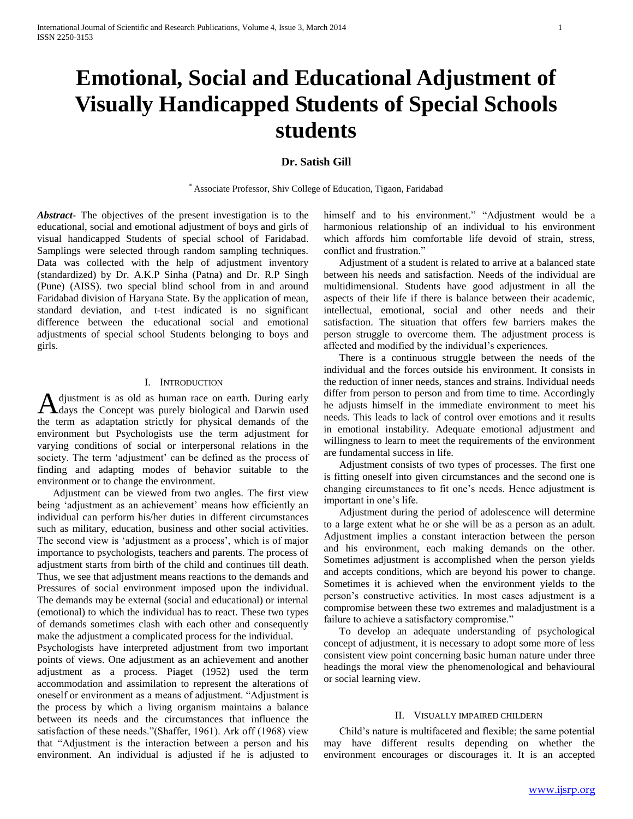# **Emotional, Social and Educational Adjustment of Visually Handicapped Students of Special Schools students**

# **Dr. Satish Gill**

\* Associate Professor, Shiv College of Education, Tigaon, Faridabad

*Abstract***-** The objectives of the present investigation is to the educational, social and emotional adjustment of boys and girls of visual handicapped Students of special school of Faridabad. Samplings were selected through random sampling techniques. Data was collected with the help of adjustment inventory (standardized) by Dr. A.K.P Sinha (Patna) and Dr. R.P Singh (Pune) (AISS). two special blind school from in and around Faridabad division of Haryana State. By the application of mean, standard deviation, and t-test indicated is no significant difference between the educational social and emotional adjustments of special school Students belonging to boys and girls.

## I. INTRODUCTION

djustment is as old as human race on earth. During early A djustment is as old as human race on earth. During early days the Concept was purely biological and Darwin used the term as adaptation strictly for physical demands of the environment but Psychologists use the term adjustment for varying conditions of social or interpersonal relations in the society. The term 'adjustment' can be defined as the process of finding and adapting modes of behavior suitable to the environment or to change the environment.

 Adjustment can be viewed from two angles. The first view being 'adjustment as an achievement' means how efficiently an individual can perform his/her duties in different circumstances such as military, education, business and other social activities. The second view is 'adjustment as a process', which is of major importance to psychologists, teachers and parents. The process of adjustment starts from birth of the child and continues till death. Thus, we see that adjustment means reactions to the demands and Pressures of social environment imposed upon the individual. The demands may be external (social and educational) or internal (emotional) to which the individual has to react. These two types of demands sometimes clash with each other and consequently make the adjustment a complicated process for the individual.

Psychologists have interpreted adjustment from two important points of views. One adjustment as an achievement and another adjustment as a process. Piaget (1952) used the term accommodation and assimilation to represent the alterations of oneself or environment as a means of adjustment. "Adjustment is the process by which a living organism maintains a balance between its needs and the circumstances that influence the satisfaction of these needs."(Shaffer, 1961). Ark off (1968) view that "Adjustment is the interaction between a person and his environment. An individual is adjusted if he is adjusted to

himself and to his environment." "Adjustment would be a harmonious relationship of an individual to his environment which affords him comfortable life devoid of strain, stress, conflict and frustration."

 Adjustment of a student is related to arrive at a balanced state between his needs and satisfaction. Needs of the individual are multidimensional. Students have good adjustment in all the aspects of their life if there is balance between their academic, intellectual, emotional, social and other needs and their satisfaction. The situation that offers few barriers makes the person struggle to overcome them. The adjustment process is affected and modified by the individual's experiences.

 There is a continuous struggle between the needs of the individual and the forces outside his environment. It consists in the reduction of inner needs, stances and strains. Individual needs differ from person to person and from time to time. Accordingly he adjusts himself in the immediate environment to meet his needs. This leads to lack of control over emotions and it results in emotional instability. Adequate emotional adjustment and willingness to learn to meet the requirements of the environment are fundamental success in life.

 Adjustment consists of two types of processes. The first one is fitting oneself into given circumstances and the second one is changing circumstances to fit one's needs. Hence adjustment is important in one's life.

 Adjustment during the period of adolescence will determine to a large extent what he or she will be as a person as an adult. Adjustment implies a constant interaction between the person and his environment, each making demands on the other. Sometimes adjustment is accomplished when the person yields and accepts conditions, which are beyond his power to change. Sometimes it is achieved when the environment yields to the person's constructive activities. In most cases adjustment is a compromise between these two extremes and maladjustment is a failure to achieve a satisfactory compromise."

 To develop an adequate understanding of psychological concept of adjustment, it is necessary to adopt some more of less consistent view point concerning basic human nature under three headings the moral view the phenomenological and behavioural or social learning view.

## II. VISUALLY IMPAIRED CHILDERN

 Child's nature is multifaceted and flexible; the same potential may have different results depending on whether the environment encourages or discourages it. It is an accepted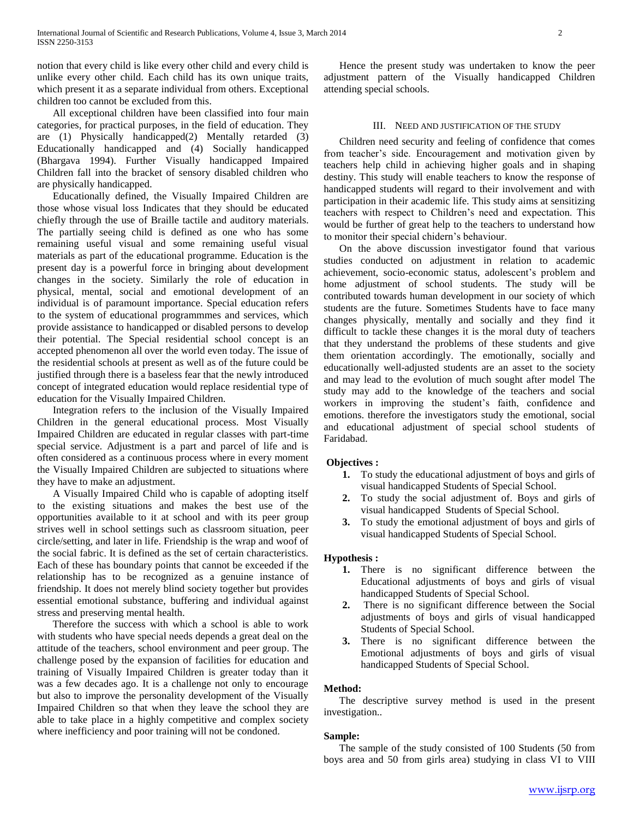notion that every child is like every other child and every child is unlike every other child. Each child has its own unique traits, which present it as a separate individual from others. Exceptional children too cannot be excluded from this.

 All exceptional children have been classified into four main categories, for practical purposes, in the field of education. They are (1) Physically handicapped(2) Mentally retarded (3) Educationally handicapped and (4) Socially handicapped (Bhargava 1994). Further Visually handicapped Impaired Children fall into the bracket of sensory disabled children who are physically handicapped.

 Educationally defined, the Visually Impaired Children are those whose visual loss Indicates that they should be educated chiefly through the use of Braille tactile and auditory materials. The partially seeing child is defined as one who has some remaining useful visual and some remaining useful visual materials as part of the educational programme. Education is the present day is a powerful force in bringing about development changes in the society. Similarly the role of education in physical, mental, social and emotional development of an individual is of paramount importance. Special education refers to the system of educational programmmes and services, which provide assistance to handicapped or disabled persons to develop their potential. The Special residential school concept is an accepted phenomenon all over the world even today. The issue of the residential schools at present as well as of the future could be justified through there is a baseless fear that the newly introduced concept of integrated education would replace residential type of education for the Visually Impaired Children.

 Integration refers to the inclusion of the Visually Impaired Children in the general educational process. Most Visually Impaired Children are educated in regular classes with part-time special service. Adjustment is a part and parcel of life and is often considered as a continuous process where in every moment the Visually Impaired Children are subjected to situations where they have to make an adjustment.

 A Visually Impaired Child who is capable of adopting itself to the existing situations and makes the best use of the opportunities available to it at school and with its peer group strives well in school settings such as classroom situation, peer circle/setting, and later in life. Friendship is the wrap and woof of the social fabric. It is defined as the set of certain characteristics. Each of these has boundary points that cannot be exceeded if the relationship has to be recognized as a genuine instance of friendship. It does not merely blind society together but provides essential emotional substance, buffering and individual against stress and preserving mental health.

 Therefore the success with which a school is able to work with students who have special needs depends a great deal on the attitude of the teachers, school environment and peer group. The challenge posed by the expansion of facilities for education and training of Visually Impaired Children is greater today than it was a few decades ago. It is a challenge not only to encourage but also to improve the personality development of the Visually Impaired Children so that when they leave the school they are able to take place in a highly competitive and complex society where inefficiency and poor training will not be condoned.

 Hence the present study was undertaken to know the peer adjustment pattern of the Visually handicapped Children attending special schools.

## III. NEED AND JUSTIFICATION OF THE STUDY

 Children need security and feeling of confidence that comes from teacher's side. Encouragement and motivation given by teachers help child in achieving higher goals and in shaping destiny. This study will enable teachers to know the response of handicapped students will regard to their involvement and with participation in their academic life. This study aims at sensitizing teachers with respect to Children's need and expectation. This would be further of great help to the teachers to understand how to monitor their special chidern's behaviour.

 On the above discussion investigator found that various studies conducted on adjustment in relation to academic achievement, socio-economic status, adolescent's problem and home adjustment of school students. The study will be contributed towards human development in our society of which students are the future. Sometimes Students have to face many changes physically, mentally and socially and they find it difficult to tackle these changes it is the moral duty of teachers that they understand the problems of these students and give them orientation accordingly. The emotionally, socially and educationally well-adjusted students are an asset to the society and may lead to the evolution of much sought after model The study may add to the knowledge of the teachers and social workers in improving the student's faith, confidence and emotions. therefore the investigators study the emotional, social and educational adjustment of special school students of Faridabad.

### **Objectives :**

- **1.** To study the educational adjustment of boys and girls of visual handicapped Students of Special School.
- **2.** To study the social adjustment of. Boys and girls of visual handicapped Students of Special School.
- **3.** To study the emotional adjustment of boys and girls of visual handicapped Students of Special School.

## **Hypothesis :**

- **1.** There is no significant difference between the Educational adjustments of boys and girls of visual handicapped Students of Special School.
- **2.** There is no significant difference between the Social adjustments of boys and girls of visual handicapped Students of Special School.
- **3.** There is no significant difference between the Emotional adjustments of boys and girls of visual handicapped Students of Special School.

## **Method:**

 The descriptive survey method is used in the present investigation..

### **Sample:**

 The sample of the study consisted of 100 Students (50 from boys area and 50 from girls area) studying in class VI to VIII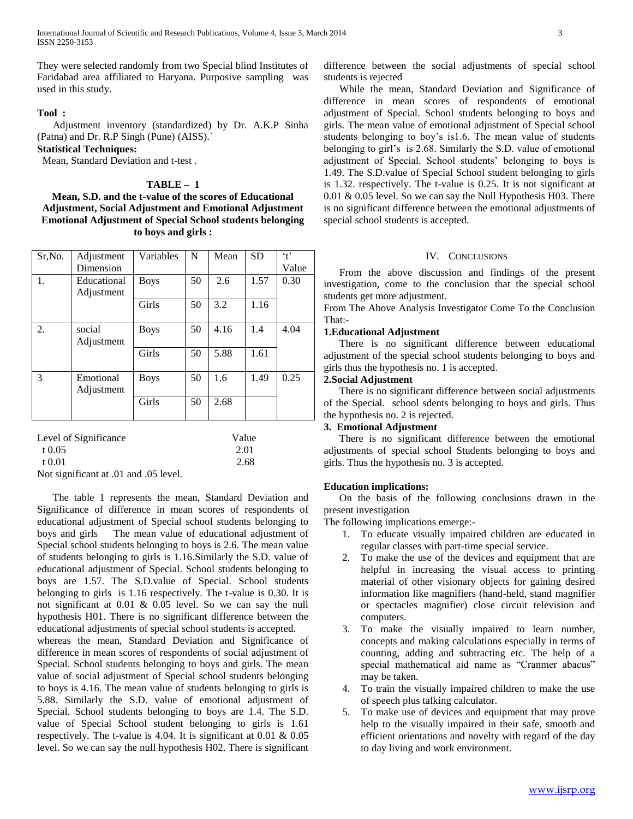They were selected randomly from two Special blind Institutes of Faridabad area affiliated to Haryana. Purposive sampling was used in this study.

## **Tool :**

 Adjustment inventory (standardized) by Dr. A.K.P Sinha (Patna) and Dr. R.P Singh (Pune) (AISS).`

# **Statistical Techniques:**

Mean, Standard Deviation and t-test .

## **TABLE – 1**

## **Mean, S.D. and the t-value of the scores of Educational Adjustment, Social Adjustment and Emotional Adjustment Emotional Adjustment of Special School students belonging to boys and girls :**

| Sr, No.               | Adjustment  | Variables   | N     | Mean | <b>SD</b> | $\cdot$ <sup>+</sup> |  |
|-----------------------|-------------|-------------|-------|------|-----------|----------------------|--|
|                       | Dimension   |             |       |      |           | Value                |  |
| 1.                    | Educational | <b>Boys</b> | 50    | 2.6  | 1.57      | 0.30                 |  |
|                       | Adjustment  |             |       |      |           |                      |  |
|                       |             | Girls       | 50    | 3.2  | 1.16      |                      |  |
|                       |             |             |       |      |           |                      |  |
| 2.                    | social      | <b>Boys</b> | 50    | 4.16 | 1.4       | 4.04                 |  |
|                       | Adjustment  |             |       |      |           |                      |  |
|                       |             | Girls       | 50    | 5.88 | 1.61      |                      |  |
|                       |             |             |       |      |           |                      |  |
| 3                     | Emotional   | <b>Boys</b> | 50    | 1.6  | 1.49      | 0.25                 |  |
|                       | Adjustment  |             |       |      |           |                      |  |
|                       |             | Girls       | 50    | 2.68 |           |                      |  |
|                       |             |             |       |      |           |                      |  |
|                       |             |             |       |      |           |                      |  |
| Level of Significance |             |             | Value |      |           |                      |  |

| Level of Significance                 | value. |
|---------------------------------------|--------|
| $+0.05$                               | 2.01   |
| t 0.01                                | 2.68   |
| Not significant at .01 and .05 level. |        |

 The table 1 represents the mean, Standard Deviation and Significance of difference in mean scores of respondents of educational adjustment of Special school students belonging to boys and girls The mean value of educational adjustment of Special school students belonging to boys is 2.6. The mean value of students belonging to girls is 1.16.Similarly the S.D. value of educational adjustment of Special. School students belonging to boys are 1.57. The S.D.value of Special. School students belonging to girls is 1.16 respectively. The t-value is 0.30. It is not significant at 0.01 & 0.05 level. So we can say the null hypothesis H01. There is no significant difference between the educational adjustments of special school students is accepted.

whereas the mean, Standard Deviation and Significance of difference in mean scores of respondents of social adjustment of Special. School students belonging to boys and girls. The mean value of social adjustment of Special school students belonging to boys is 4.16. The mean value of students belonging to girls is 5.88. Similarly the S.D. value of emotional adjustment of Special. School students belonging to boys are 1.4. The S.D. value of Special School student belonging to girls is 1.61 respectively. The t-value is 4.04. It is significant at 0.01 & 0.05 level. So we can say the null hypothesis H02. There is significant difference between the social adjustments of special school students is rejected

 While the mean, Standard Deviation and Significance of difference in mean scores of respondents of emotional adjustment of Special. School students belonging to boys and girls. The mean value of emotional adjustment of Special school students belonging to boy's is1.6. The mean value of students belonging to girl's is 2.68. Similarly the S.D. value of emotional adjustment of Special. School students' belonging to boys is 1.49. The S.D.value of Special School student belonging to girls is 1.32. respectively. The t-value is 0.25. It is not significant at 0.01 & 0.05 level. So we can say the Null Hypothesis H03. There is no significant difference between the emotional adjustments of special school students is accepted.

## IV. CONCLUSIONS

 From the above discussion and findings of the present investigation, come to the conclusion that the special school students get more adjustment.

From The Above Analysis Investigator Come To the Conclusion That:-

## **1.Educational Adjustment**

 There is no significant difference between educational adjustment of the special school students belonging to boys and girls thus the hypothesis no. 1 is accepted.

## **2.Social Adjustment**

 There is no significant difference between social adjustments of the Special. school sdents belonging to boys and girls. Thus the hypothesis no. 2 is rejected.

## **3. Emotional Adjustment**

 There is no significant difference between the emotional adjustments of special school Students belonging to boys and girls. Thus the hypothesis no. 3 is accepted.

## **Education implications:**

 On the basis of the following conclusions drawn in the present investigation

The following implications emerge:-

- 1. To educate visually impaired children are educated in regular classes with part-time special service.
- 2. To make the use of the devices and equipment that are helpful in increasing the visual access to printing material of other visionary objects for gaining desired information like magnifiers (hand-held, stand magnifier or spectacles magnifier) close circuit television and computers.
- 3. To make the visually impaired to learn number, concepts and making calculations especially in terms of counting, adding and subtracting etc. The help of a special mathematical aid name as "Cranmer abacus" may be taken.
- 4. To train the visually impaired children to make the use of speech plus talking calculator.
- 5. To make use of devices and equipment that may prove help to the visually impaired in their safe, smooth and efficient orientations and novelty with regard of the day to day living and work environment.